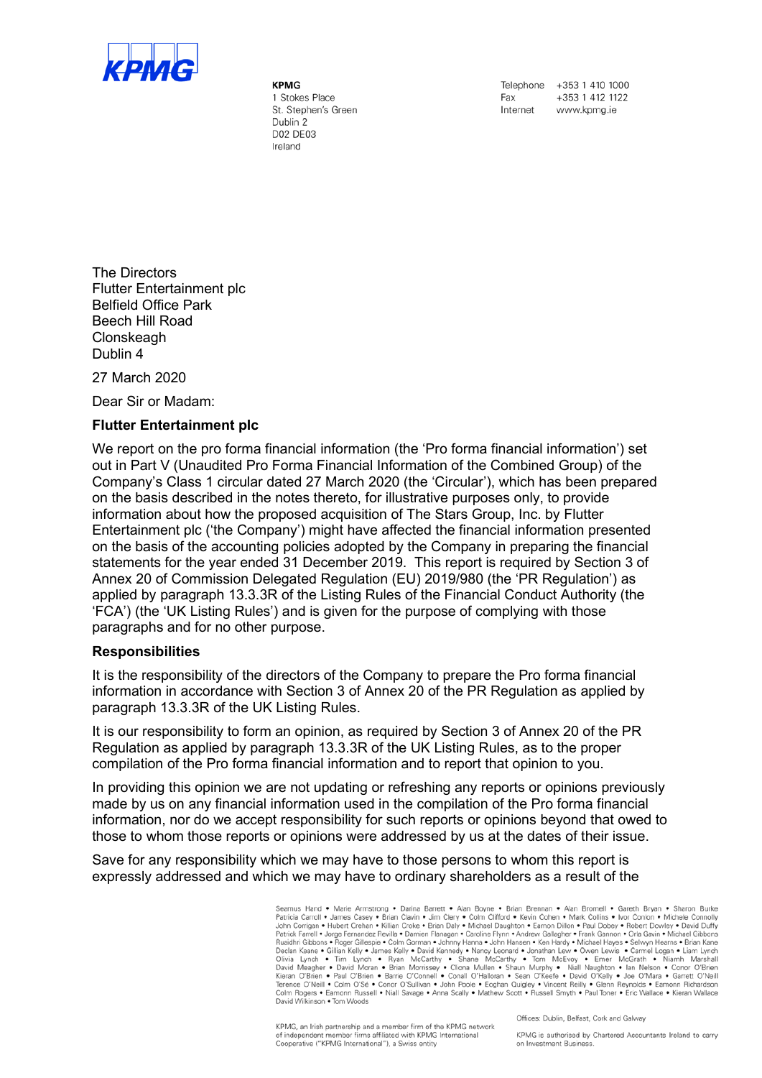

KPMG 1 Stokes Place St. Stephen's Green Dublin 2 D02 DE03 Ireland

Telephone +353 1 410 1000 +353 1 412 1122 Fax Internet www.kpma.je

The Directors Flutter Entertainment plc Belfield Office Park Beech Hill Road **Clonskeagh** Dublin 4

27 March 2020

Dear Sir or Madam:

## Flutter Entertainment plc

We report on the pro forma financial information (the 'Pro forma financial information') set out in Part V (Unaudited Pro Forma Financial Information of the Combined Group) of the Company's Class 1 circular dated 27 March 2020 (the 'Circular'), which has been prepared on the basis described in the notes thereto, for illustrative purposes only, to provide information about how the proposed acquisition of The Stars Group, Inc. by Flutter Entertainment plc ('the Company') might have affected the financial information presented on the basis of the accounting policies adopted by the Company in preparing the financial statements for the year ended 31 December 2019. This report is required by Section 3 of Annex 20 of Commission Delegated Regulation (EU) 2019/980 (the 'PR Regulation') as applied by paragraph 13.3.3R of the Listing Rules of the Financial Conduct Authority (the 'FCA') (the 'UK Listing Rules') and is given for the purpose of complying with those paragraphs and for no other purpose.

## Responsibilities

It is the responsibility of the directors of the Company to prepare the Pro forma financial information in accordance with Section 3 of Annex 20 of the PR Regulation as applied by paragraph 13.3.3R of the UK Listing Rules.

It is our responsibility to form an opinion, as required by Section 3 of Annex 20 of the PR Regulation as applied by paragraph 13.3.3R of the UK Listing Rules, as to the proper compilation of the Pro forma financial information and to report that opinion to you.

In providing this opinion we are not updating or refreshing any reports or opinions previously made by us on any financial information used in the compilation of the Pro forma financial information, nor do we accept responsibility for such reports or opinions beyond that owed to those to whom those reports or opinions were addressed by us at the dates of their issue.

Save for any responsibility which we may have to those persons to whom this report is expressly addressed and which we may have to ordinary shareholders as a result of the

> Seamus Hand • Marie Armstrong • Darina Barrett • Alan Boyne • Brian Brennan • Alan Bromell • Gareth Bryan • Sharon Burke<br>Patricia Carroll • James Casey • Brian Clavin • Jim Clery • Colm Clifford • Kevin Cohen • Mark Collin Nualanti Gibbons • Noger Gillian Kelly • David Kennedy • Nancy Leonard • Jonathan Lew • Owen Lewis • Carmel Logan • Liam Karley back and Science Declar News • Carmel Logan • Liam Lynch • Tim Lynch • Ryan McCarthy • Shane M David Wilkinson . Tom Woods

KPMG, an Irish partnership and a member firm of the KPMG network of independent member firms affiliated with KPMG International<br>Cooperative ("KPMG International"), a Swiss entity

Offices: Dublin, Belfast, Cork and Galway

KPMG is authorised by Chartered Accountants Ireland to carry on Investment Business